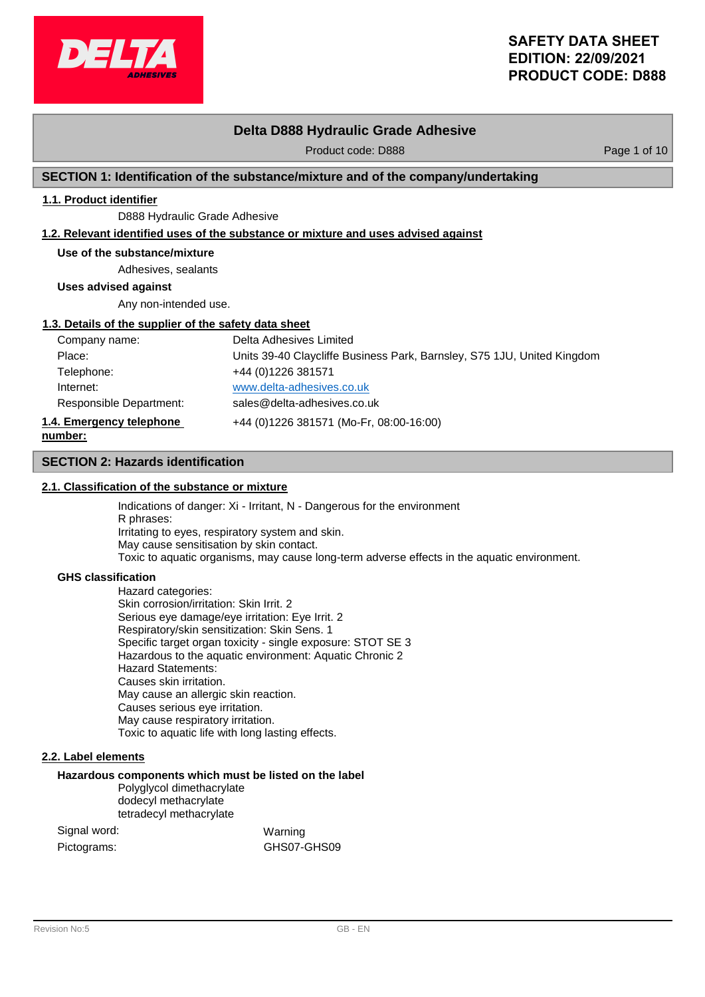

# **Delta D888 Hydraulic Grade Adhesive**

Product code: D888 Product code: D888

## **SECTION 1: Identification of the substance/mixture and of the company/undertaking**

# **1.1. Product identifier**

D888 Hydraulic Grade Adhesive

## **1.2. Relevant identified uses of the substance or mixture and uses advised against**

## **Use of the substance/mixture**

Adhesives, sealants

**Uses advised against**

Any non-intended use.

## **1.3. Details of the supplier of the safety data sheet**

| Company name:            | Delta Adhesives Limited                                                 |
|--------------------------|-------------------------------------------------------------------------|
| Place:                   | Units 39-40 Claycliffe Business Park, Barnsley, S75 1JU, United Kingdom |
| Telephone:               | +44 (0) 1226 381571                                                     |
| Internet:                | www.delta-adhesives.co.uk                                               |
| Responsible Department:  | sales@delta-adhesives.co.uk                                             |
| 1.4. Emergency telephone | +44 (0)1226 381571 (Mo-Fr, 08:00-16:00)                                 |
| number:                  |                                                                         |

## **SECTION 2: Hazards identification**

## **2.1. Classification of the substance or mixture**

Indications of danger: Xi - Irritant, N - Dangerous for the environment R phrases: Irritating to eyes, respiratory system and skin. May cause sensitisation by skin contact. Toxic to aquatic organisms, may cause long-term adverse effects in the aquatic environment.

### **GHS classification**

**number:**

Hazard categories: Skin corrosion/irritation: Skin Irrit. 2 Serious eye damage/eye irritation: Eye Irrit. 2 Respiratory/skin sensitization: Skin Sens. 1 Specific target organ toxicity - single exposure: STOT SE 3 Hazardous to the aquatic environment: Aquatic Chronic 2 Hazard Statements: Causes skin irritation. May cause an allergic skin reaction. Causes serious eye irritation. May cause respiratory irritation. Toxic to aquatic life with long lasting effects.

## **2.2. Label elements**

## **Hazardous components which must be listed on the label**

Polyglycol dimethacrylate dodecyl methacrylate tetradecyl methacrylate

| Signal word: |  | Warning     |
|--------------|--|-------------|
| Pictograms:  |  | GHS07-GHS09 |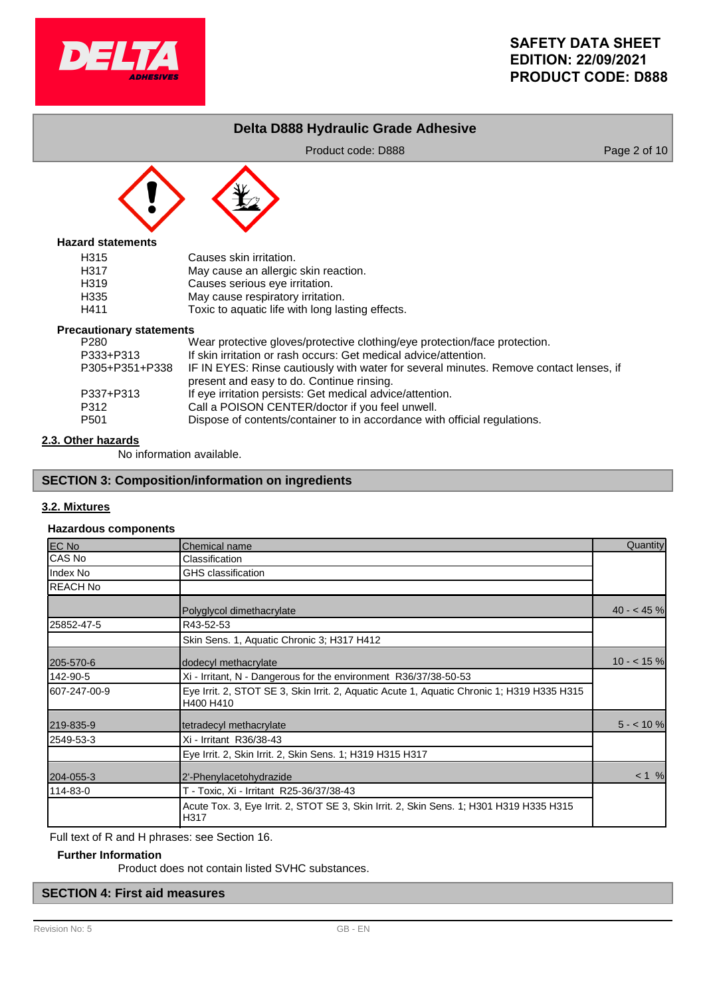

# **Delta D888 Hydraulic Grade Adhesive**

Product code: D888 Product code: D888 Page 2 of 10



## **Hazard statements**

| H315             | Causes skin irritation.                          |
|------------------|--------------------------------------------------|
| H317             | May cause an allergic skin reaction.             |
| H <sub>319</sub> | Causes serious eye irritation.                   |
| H335             | May cause respiratory irritation.                |
| H411             | Toxic to aquatic life with long lasting effects. |

### **Precautionary statements**

| <u>aational I otatonionio</u> |                                                                                        |
|-------------------------------|----------------------------------------------------------------------------------------|
| P280                          | Wear protective gloves/protective clothing/eye protection/face protection.             |
| P333+P313                     | If skin irritation or rash occurs: Get medical advice/attention.                       |
| P305+P351+P338                | IF IN EYES: Rinse cautiously with water for several minutes. Remove contact lenses, if |
|                               | present and easy to do. Continue rinsing.                                              |
| P337+P313                     | If eye irritation persists: Get medical advice/attention.                              |
| P312                          | Call a POISON CENTER/doctor if you feel unwell.                                        |
| P501                          | Dispose of contents/container to in accordance with official regulations.              |
|                               |                                                                                        |

## **2.3. Other hazards**

No information available.

# **SECTION 3: Composition/information on ingredients**

## **3.2. Mixtures**

## **Hazardous components**

| <b>EC No</b>    | Chemical name                                                                                           | Quantity   |
|-----------------|---------------------------------------------------------------------------------------------------------|------------|
| ICAS No         | Classification                                                                                          |            |
| Index No        | <b>GHS</b> classification                                                                               |            |
| <b>REACH No</b> |                                                                                                         |            |
|                 | Polyglycol dimethacrylate                                                                               | $40 - 45%$ |
| 25852-47-5      | R43-52-53                                                                                               |            |
|                 | Skin Sens. 1, Aquatic Chronic 3; H317 H412                                                              |            |
| 205-570-6       | dodecyl methacrylate                                                                                    | $10 - 15%$ |
| 142-90-5        | Xi - Irritant, N - Dangerous for the environment R36/37/38-50-53                                        |            |
| 607-247-00-9    | Eye Irrit. 2, STOT SE 3, Skin Irrit. 2, Aquatic Acute 1, Aquatic Chronic 1; H319 H335 H315<br>H400 H410 |            |
| 219-835-9       | tetradecyl methacrylate                                                                                 | $5 - 10%$  |
| 2549-53-3       | Xi - Irritant R36/38-43                                                                                 |            |
|                 | Eye Irrit. 2, Skin Irrit. 2, Skin Sens. 1; H319 H315 H317                                               |            |
| 204-055-3       | 2'-Phenylacetohydrazide                                                                                 | < 1 %      |
| 114-83-0        | T - Toxic, Xi - Irritant R25-36/37/38-43                                                                |            |
|                 | Acute Tox. 3, Eye Irrit. 2, STOT SE 3, Skin Irrit. 2, Skin Sens. 1; H301 H319 H335 H315<br>H317         |            |

Full text of R and H phrases: see Section 16.

## **Further Information**

Product does not contain listed SVHC substances.

# **SECTION 4: First aid measures**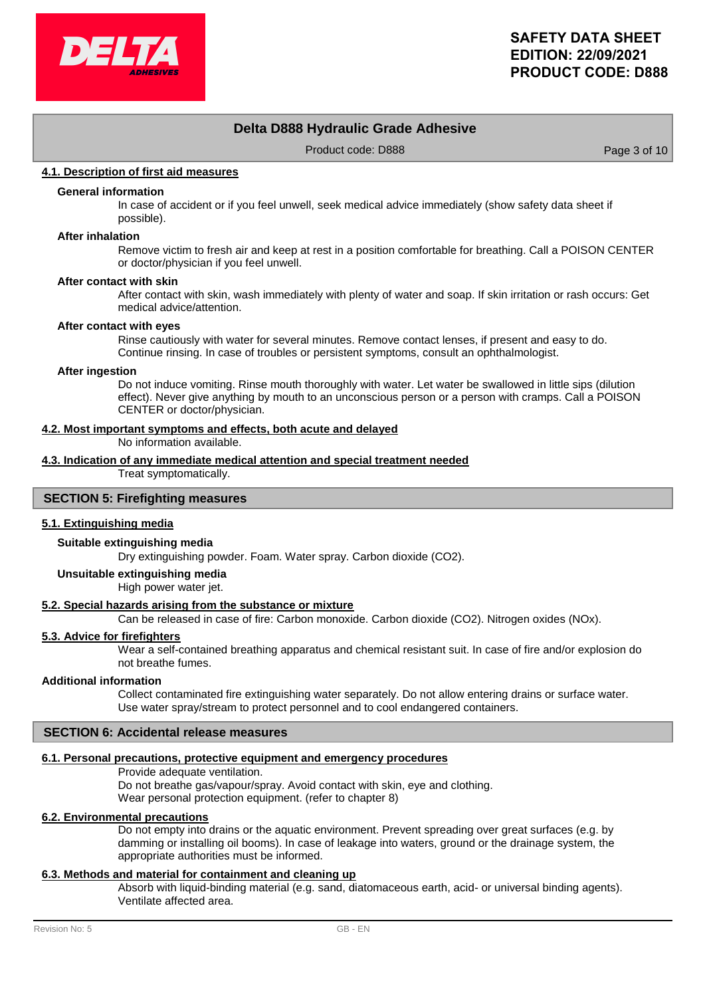

# **Delta D888 Hydraulic Grade Adhesive**

Product code: D888 Product code: D888

## **4.1. Description of first aid measures**

## **General information**

In case of accident or if you feel unwell, seek medical advice immediately (show safety data sheet if possible).

#### **After inhalation**

Remove victim to fresh air and keep at rest in a position comfortable for breathing. Call a POISON CENTER or doctor/physician if you feel unwell.

#### **After contact with skin**

After contact with skin, wash immediately with plenty of water and soap. If skin irritation or rash occurs: Get medical advice/attention.

#### **After contact with eyes**

Rinse cautiously with water for several minutes. Remove contact lenses, if present and easy to do. Continue rinsing. In case of troubles or persistent symptoms, consult an ophthalmologist.

#### **After ingestion**

Do not induce vomiting. Rinse mouth thoroughly with water. Let water be swallowed in little sips (dilution effect). Never give anything by mouth to an unconscious person or a person with cramps. Call a POISON CENTER or doctor/physician.

### **4.2. Most important symptoms and effects, both acute and delayed**

No information available.

# **4.3. Indication of any immediate medical attention and special treatment needed**

Treat symptomatically.

## **SECTION 5: Firefighting measures**

## **5.1. Extinguishing media**

### **Suitable extinguishing media**

Dry extinguishing powder. Foam. Water spray. Carbon dioxide (CO2).

## **Unsuitable extinguishing media**

High power water jet.

## **5.2. Special hazards arising from the substance or mixture**

Can be released in case of fire: Carbon monoxide. Carbon dioxide (CO2). Nitrogen oxides (NOx).

### **5.3. Advice for firefighters**

Wear a self-contained breathing apparatus and chemical resistant suit. In case of fire and/or explosion do not breathe fumes.

### **Additional information**

Collect contaminated fire extinguishing water separately. Do not allow entering drains or surface water. Use water spray/stream to protect personnel and to cool endangered containers.

## **SECTION 6: Accidental release measures**

### **6.1. Personal precautions, protective equipment and emergency procedures**

Provide adequate ventilation. Do not breathe gas/vapour/spray. Avoid contact with skin, eye and clothing. Wear personal protection equipment. (refer to chapter 8)

### **6.2. Environmental precautions**

Do not empty into drains or the aquatic environment. Prevent spreading over great surfaces (e.g. by damming or installing oil booms). In case of leakage into waters, ground or the drainage system, the appropriate authorities must be informed.

## **6.3. Methods and material for containment and cleaning up**

Absorb with liquid-binding material (e.g. sand, diatomaceous earth, acid- or universal binding agents). Ventilate affected area.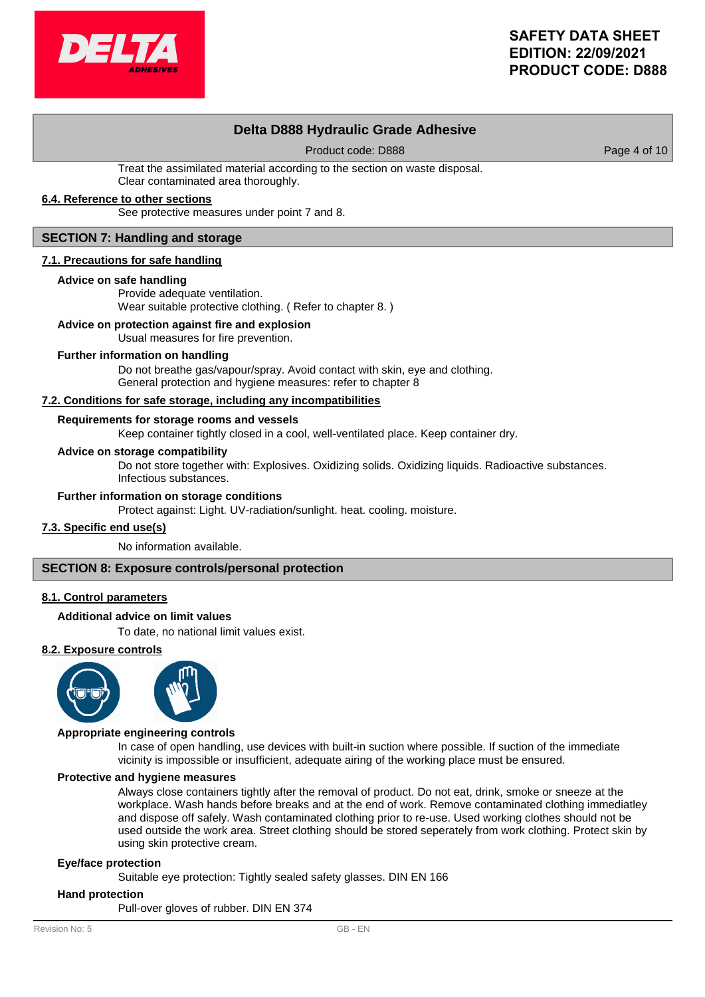# **Delta D888 Hydraulic Grade Adhesive**

Product code: D888 Product code: 0888

Treat the assimilated material according to the section on waste disposal. Clear contaminated area thoroughly.

## **6.4. Reference to other sections**

See protective measures under point 7 and 8.

### **SECTION 7: Handling and storage**

### **7.1. Precautions for safe handling**

### **Advice on safe handling**

Provide adequate ventilation. Wear suitable protective clothing. ( Refer to chapter 8. )

## **Advice on protection against fire and explosion**

Usual measures for fire prevention.

### **Further information on handling**

Do not breathe gas/vapour/spray. Avoid contact with skin, eye and clothing. General protection and hygiene measures: refer to chapter 8

### **7.2. Conditions for safe storage, including any incompatibilities**

## **Requirements for storage rooms and vessels**

Keep container tightly closed in a cool, well-ventilated place. Keep container dry.

### **Advice on storage compatibility**

Do not store together with: Explosives. Oxidizing solids. Oxidizing liquids. Radioactive substances. Infectious substances.

### **Further information on storage conditions**

Protect against: Light. UV-radiation/sunlight. heat. cooling. moisture.

### **7.3. Specific end use(s)**

No information available.

### **SECTION 8: Exposure controls/personal protection**

### **8.1. Control parameters**

### **Additional advice on limit values**

To date, no national limit values exist.

### **8.2. Exposure controls**



### **Appropriate engineering controls**

In case of open handling, use devices with built-in suction where possible. If suction of the immediate vicinity is impossible or insufficient, adequate airing of the working place must be ensured.

### **Protective and hygiene measures**

Always close containers tightly after the removal of product. Do not eat, drink, smoke or sneeze at the workplace. Wash hands before breaks and at the end of work. Remove contaminated clothing immediatley and dispose off safely. Wash contaminated clothing prior to re-use. Used working clothes should not be used outside the work area. Street clothing should be stored seperately from work clothing. Protect skin by using skin protective cream.

### **Eye/face protection**

Suitable eye protection: Tightly sealed safety glasses. DIN EN 166

### **Hand protection**

Pull-over gloves of rubber. DIN EN 374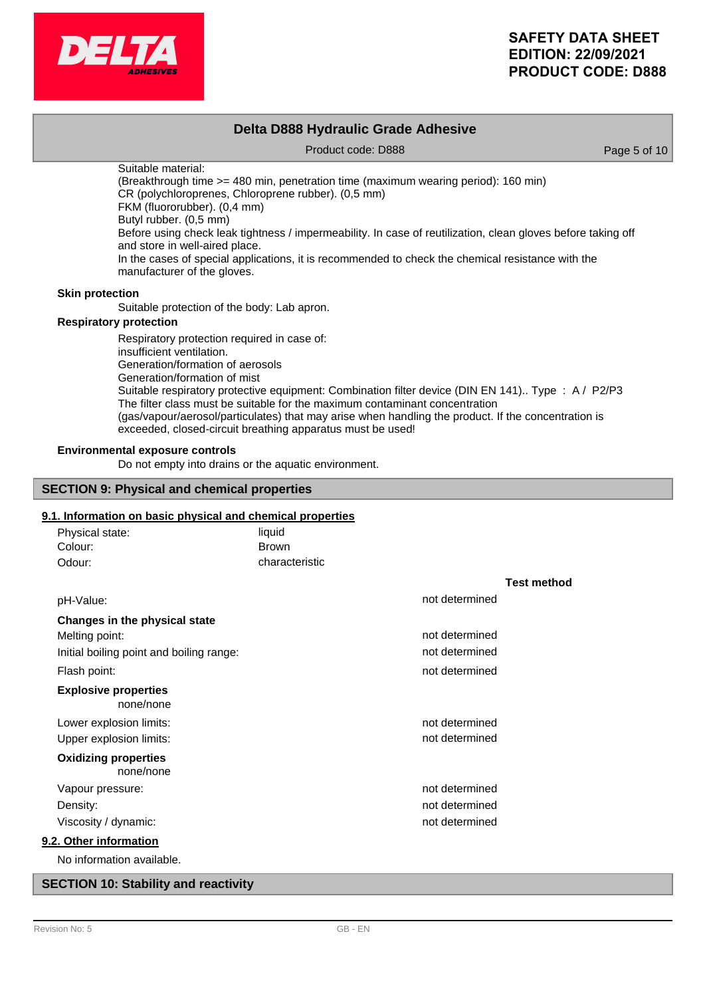

|                        | Delta D888 Hydraulic Grade Adhesive                                                                                                                                                                                                                                                                                                                                                                                                                                                                             |              |  |  |  |
|------------------------|-----------------------------------------------------------------------------------------------------------------------------------------------------------------------------------------------------------------------------------------------------------------------------------------------------------------------------------------------------------------------------------------------------------------------------------------------------------------------------------------------------------------|--------------|--|--|--|
|                        | Product code: D888                                                                                                                                                                                                                                                                                                                                                                                                                                                                                              | Page 5 of 10 |  |  |  |
|                        | Suitable material:<br>(Breakthrough time >= 480 min, penetration time (maximum wearing period): 160 min)<br>CR (polychloroprenes, Chloroprene rubber). (0,5 mm)<br>FKM (fluororubber). (0,4 mm)<br>Butyl rubber. (0,5 mm)<br>Before using check leak tightness / impermeability. In case of reutilization, clean gloves before taking off<br>and store in well-aired place.<br>In the cases of special applications, it is recommended to check the chemical resistance with the<br>manufacturer of the gloves. |              |  |  |  |
| <b>Skin protection</b> |                                                                                                                                                                                                                                                                                                                                                                                                                                                                                                                 |              |  |  |  |
|                        | Suitable protection of the body: Lab apron.                                                                                                                                                                                                                                                                                                                                                                                                                                                                     |              |  |  |  |
|                        | <b>Respiratory protection</b>                                                                                                                                                                                                                                                                                                                                                                                                                                                                                   |              |  |  |  |
|                        | Respiratory protection required in case of:<br>insufficient ventilation.<br>Generation/formation of aerosols<br>Generation/formation of mist<br>Suitable respiratory protective equipment: Combination filter device (DIN EN 141). Type : A / P2/P3                                                                                                                                                                                                                                                             |              |  |  |  |

The filter class must be suitable for the maximum contaminant concentration (gas/vapour/aerosol/particulates) that may arise when handling the product. If the concentration is exceeded, closed-circuit breathing apparatus must be used!

### **Environmental exposure controls**

Do not empty into drains or the aquatic environment.

## **SECTION 9: Physical and chemical properties**

## **9.1. Information on basic physical and chemical properties**

| Physical state:                          | liquid         |                |                    |
|------------------------------------------|----------------|----------------|--------------------|
| Colour:                                  | <b>Brown</b>   |                |                    |
| Odour:                                   | characteristic |                |                    |
|                                          |                |                | <b>Test method</b> |
| pH-Value:                                |                | not determined |                    |
| Changes in the physical state            |                |                |                    |
| Melting point:                           |                | not determined |                    |
| Initial boiling point and boiling range: |                | not determined |                    |
| Flash point:                             |                | not determined |                    |
| <b>Explosive properties</b><br>none/none |                |                |                    |
| Lower explosion limits:                  |                | not determined |                    |
| Upper explosion limits:                  |                | not determined |                    |
| <b>Oxidizing properties</b><br>none/none |                |                |                    |
| Vapour pressure:                         |                | not determined |                    |
| Density:                                 |                | not determined |                    |
| Viscosity / dynamic:                     |                | not determined |                    |
| 9.2. Other information                   |                |                |                    |
| No information available.                |                |                |                    |

## **SECTION 10: Stability and reactivity**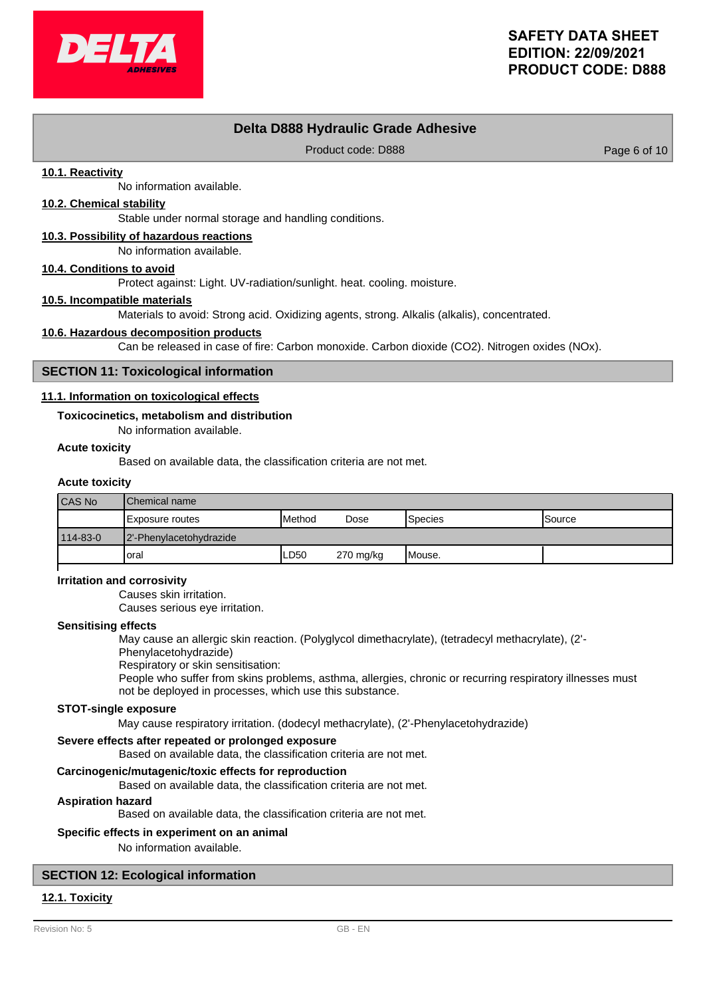

# **Delta D888 Hydraulic Grade Adhesive**

Product code: D888 Product code: 0888

## **10.1. Reactivity**

No information available.

## **10.2. Chemical stability**

Stable under normal storage and handling conditions.

## **10.3. Possibility of hazardous reactions**

No information available.

### **10.4. Conditions to avoid**

Protect against: Light. UV-radiation/sunlight. heat. cooling. moisture.

### **10.5. Incompatible materials**

Materials to avoid: Strong acid. Oxidizing agents, strong. Alkalis (alkalis), concentrated.

### **10.6. Hazardous decomposition products**

Can be released in case of fire: Carbon monoxide. Carbon dioxide (CO2). Nitrogen oxides (NOx).

### **SECTION 11: Toxicological information**

### **11.1. Information on toxicological effects**

### **Toxicocinetics, metabolism and distribution**

No information available.

## **Acute toxicity**

Based on available data, the classification criteria are not met.

### **Acute toxicity**

| <b>CAS No</b> | lChemical name          |                 |             |         |                |
|---------------|-------------------------|-----------------|-------------|---------|----------------|
|               | Exposure routes         | <b>I</b> Method | Dose        | Species | <b>ISource</b> |
| 114-83-0      | 2'-Phenylacetohydrazide |                 |             |         |                |
|               | 'oral                   | ∟D50            | $270$ mg/kg | Mouse.  |                |

### **Irritation and corrosivity**

Causes skin irritation.

Causes serious eye irritation.

### **Sensitising effects**

May cause an allergic skin reaction. (Polyglycol dimethacrylate), (tetradecyl methacrylate), (2'-

# Phenylacetohydrazide)

Respiratory or skin sensitisation:

People who suffer from skins problems, asthma, allergies, chronic or recurring respiratory illnesses must not be deployed in processes, which use this substance.

## **STOT-single exposure**

May cause respiratory irritation. (dodecyl methacrylate), (2'-Phenylacetohydrazide)

### **Severe effects after repeated or prolonged exposure**

Based on available data, the classification criteria are not met.

## **Carcinogenic/mutagenic/toxic effects for reproduction**

Based on available data, the classification criteria are not met.

### **Aspiration hazard**

Based on available data, the classification criteria are not met.

### **Specific effects in experiment on an animal**

No information available.

## **SECTION 12: Ecological information**

## **12.1. Toxicity**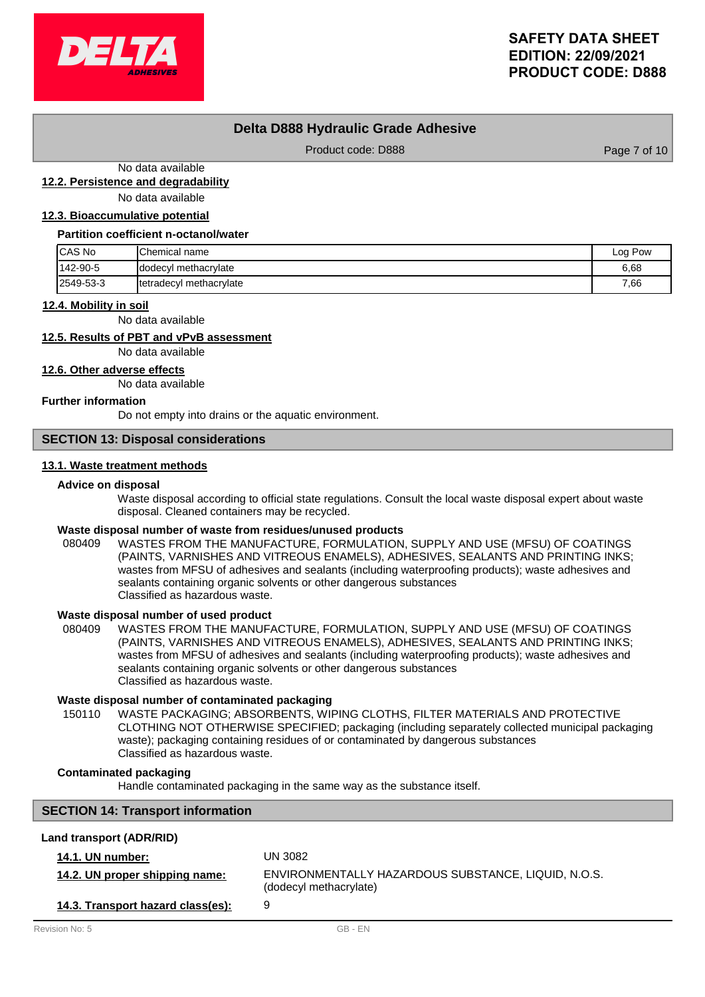

# **Delta D888 Hydraulic Grade Adhesive**

Product code: D888 Product code: D888

No data available

**12.2. Persistence and degradability**

No data available

## **12.3. Bioaccumulative potential**

#### **Partition coefficient n-octanol/water**

| <b>ICAS No</b> | <b>Chemical name</b>            | Log Pow |
|----------------|---------------------------------|---------|
| 142-90-5       | Idodecyl methacrylate           | 6,68    |
| 2549-53-3      | <b>Itetradecyl methacrylate</b> | 7,66    |

### **12.4. Mobility in soil**

No data available

# **12.5. Results of PBT and vPvB assessment**

No data available

**12.6. Other adverse effects**

No data available

### **Further information**

Do not empty into drains or the aquatic environment.

## **SECTION 13: Disposal considerations**

## **13.1. Waste treatment methods**

### **Advice on disposal**

Waste disposal according to official state regulations. Consult the local waste disposal expert about waste disposal. Cleaned containers may be recycled.

## **Waste disposal number of waste from residues/unused products**

080409 WASTES FROM THE MANUFACTURE, FORMULATION, SUPPLY AND USE (MFSU) OF COATINGS (PAINTS, VARNISHES AND VITREOUS ENAMELS), ADHESIVES, SEALANTS AND PRINTING INKS; wastes from MFSU of adhesives and sealants (including waterproofing products); waste adhesives and sealants containing organic solvents or other dangerous substances Classified as hazardous waste.

### **Waste disposal number of used product**

WASTES FROM THE MANUFACTURE, FORMULATION, SUPPLY AND USE (MFSU) OF COATINGS (PAINTS, VARNISHES AND VITREOUS ENAMELS), ADHESIVES, SEALANTS AND PRINTING INKS; wastes from MFSU of adhesives and sealants (including waterproofing products); waste adhesives and sealants containing organic solvents or other dangerous substances Classified as hazardous waste. 080409

### **Waste disposal number of contaminated packaging**

WASTE PACKAGING; ABSORBENTS, WIPING CLOTHS, FILTER MATERIALS AND PROTECTIVE CLOTHING NOT OTHERWISE SPECIFIED; packaging (including separately collected municipal packaging waste); packaging containing residues of or contaminated by dangerous substances Classified as hazardous waste. 150110

## **Contaminated packaging**

Handle contaminated packaging in the same way as the substance itself.

## **SECTION 14: Transport information**

## **Land transport (ADR/RID)**

| <b>14.1. UN number:</b>           | UN 3082                                                                       |
|-----------------------------------|-------------------------------------------------------------------------------|
| 14.2. UN proper shipping name:    | ENVIRONMENTALLY HAZARDOUS SUBSTANCE. LIQUID. N.O.S.<br>(dodecyl methacrylate) |
| 14.3. Transport hazard class(es): | 9                                                                             |
| Revision No: 5                    | GB - FN                                                                       |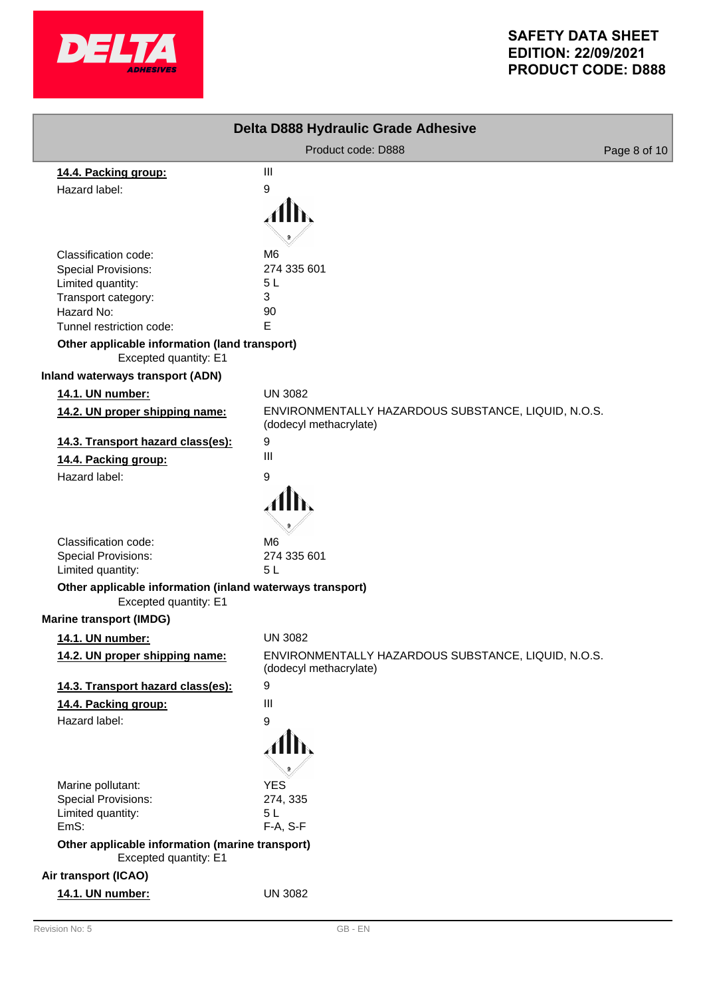

| Delta D888 Hydraulic Grade Adhesive                                            |                                                                               |              |  |  |
|--------------------------------------------------------------------------------|-------------------------------------------------------------------------------|--------------|--|--|
|                                                                                | Product code: D888                                                            | Page 8 of 10 |  |  |
| 14.4. Packing group:                                                           | $\mathbf{III}$                                                                |              |  |  |
| Hazard label:                                                                  | 9                                                                             |              |  |  |
|                                                                                |                                                                               |              |  |  |
|                                                                                |                                                                               |              |  |  |
|                                                                                |                                                                               |              |  |  |
| Classification code:                                                           | M6<br>274 335 601                                                             |              |  |  |
| <b>Special Provisions:</b><br>Limited quantity:                                | 5L                                                                            |              |  |  |
| Transport category:                                                            | 3                                                                             |              |  |  |
| Hazard No:                                                                     | 90                                                                            |              |  |  |
| Tunnel restriction code:                                                       | E                                                                             |              |  |  |
| Other applicable information (land transport)<br>Excepted quantity: E1         |                                                                               |              |  |  |
| <b>Inland waterways transport (ADN)</b>                                        |                                                                               |              |  |  |
| 14.1. UN number:                                                               | <b>UN 3082</b>                                                                |              |  |  |
| 14.2. UN proper shipping name:                                                 | ENVIRONMENTALLY HAZARDOUS SUBSTANCE, LIQUID, N.O.S.<br>(dodecyl methacrylate) |              |  |  |
| 14.3. Transport hazard class(es):                                              | $\boldsymbol{9}$                                                              |              |  |  |
| 14.4. Packing group:                                                           | $\mathbf{III}$                                                                |              |  |  |
| Hazard label:                                                                  | 9                                                                             |              |  |  |
|                                                                                |                                                                               |              |  |  |
|                                                                                |                                                                               |              |  |  |
| Classification code:                                                           | M6                                                                            |              |  |  |
| Special Provisions:                                                            | 274 335 601<br>5L                                                             |              |  |  |
| Limited quantity:<br>Other applicable information (inland waterways transport) |                                                                               |              |  |  |
| Excepted quantity: E1                                                          |                                                                               |              |  |  |
| <b>Marine transport (IMDG)</b>                                                 |                                                                               |              |  |  |
| 14.1. UN number:                                                               | <b>UN 3082</b>                                                                |              |  |  |
| 14.2. UN proper shipping name:                                                 | ENVIRONMENTALLY HAZARDOUS SUBSTANCE, LIQUID, N.O.S.<br>(dodecyl methacrylate) |              |  |  |
| 14.3. Transport hazard class(es):                                              | 9                                                                             |              |  |  |
| 14.4. Packing group:                                                           | $\mathbf{III}$                                                                |              |  |  |
| Hazard label:                                                                  | 9                                                                             |              |  |  |
|                                                                                | Alb,                                                                          |              |  |  |
| Marine pollutant:                                                              | <b>YES</b>                                                                    |              |  |  |
| <b>Special Provisions:</b>                                                     | 274, 335                                                                      |              |  |  |
| Limited quantity:                                                              | 5L                                                                            |              |  |  |
| EmS:                                                                           | F-A, S-F                                                                      |              |  |  |
| Other applicable information (marine transport)<br>Excepted quantity: E1       |                                                                               |              |  |  |
| Air transport (ICAO)                                                           |                                                                               |              |  |  |
| 14.1. UN number:                                                               | <b>UN 3082</b>                                                                |              |  |  |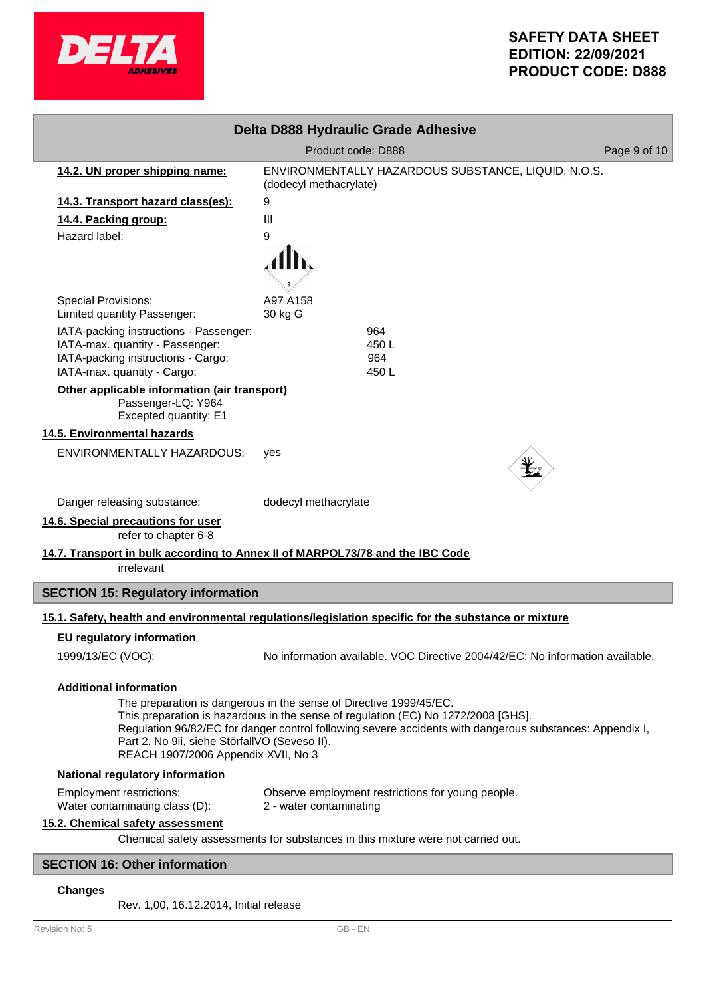

| Delta D888 Hydraulic Grade Adhesive                                                                                                                                                                                                                                                                                                                         |                                                                               |              |  |  |  |
|-------------------------------------------------------------------------------------------------------------------------------------------------------------------------------------------------------------------------------------------------------------------------------------------------------------------------------------------------------------|-------------------------------------------------------------------------------|--------------|--|--|--|
|                                                                                                                                                                                                                                                                                                                                                             | Product code: D888                                                            | Page 9 of 10 |  |  |  |
| 14.2. UN proper shipping name:                                                                                                                                                                                                                                                                                                                              | ENVIRONMENTALLY HAZARDOUS SUBSTANCE, LIQUID, N.O.S.<br>(dodecyl methacrylate) |              |  |  |  |
| 14.3. Transport hazard class(es):                                                                                                                                                                                                                                                                                                                           | 9                                                                             |              |  |  |  |
| 14.4. Packing group:                                                                                                                                                                                                                                                                                                                                        | Ш                                                                             |              |  |  |  |
| Hazard label:                                                                                                                                                                                                                                                                                                                                               | 9                                                                             |              |  |  |  |
|                                                                                                                                                                                                                                                                                                                                                             |                                                                               |              |  |  |  |
| <b>Special Provisions:</b><br>Limited quantity Passenger:                                                                                                                                                                                                                                                                                                   | A97 A158<br>30 kg G                                                           |              |  |  |  |
| IATA-packing instructions - Passenger:<br>IATA-max. quantity - Passenger:<br>IATA-packing instructions - Cargo:<br>IATA-max. quantity - Cargo:                                                                                                                                                                                                              | 964<br>450 L<br>964<br>450 L                                                  |              |  |  |  |
| Other applicable information (air transport)<br>Passenger-LQ: Y964<br>Excepted quantity: E1                                                                                                                                                                                                                                                                 |                                                                               |              |  |  |  |
| 14.5. Environmental hazards                                                                                                                                                                                                                                                                                                                                 |                                                                               |              |  |  |  |
| <b>ENVIRONMENTALLY HAZARDOUS:</b>                                                                                                                                                                                                                                                                                                                           | yes                                                                           |              |  |  |  |
| Danger releasing substance:                                                                                                                                                                                                                                                                                                                                 | dodecyl methacrylate                                                          |              |  |  |  |
| 14.6. Special precautions for user<br>refer to chapter 6-8                                                                                                                                                                                                                                                                                                  |                                                                               |              |  |  |  |
| 14.7. Transport in bulk according to Annex II of MARPOL73/78 and the IBC Code<br>irrelevant                                                                                                                                                                                                                                                                 |                                                                               |              |  |  |  |
| <b>SECTION 15: Regulatory information</b>                                                                                                                                                                                                                                                                                                                   |                                                                               |              |  |  |  |
| 15.1. Safety, health and environmental regulations/legislation specific for the substance or mixture                                                                                                                                                                                                                                                        |                                                                               |              |  |  |  |
| <b>EU regulatory information</b>                                                                                                                                                                                                                                                                                                                            |                                                                               |              |  |  |  |
| 1999/13/EC (VOC):                                                                                                                                                                                                                                                                                                                                           | No information available. VOC Directive 2004/42/EC: No information available. |              |  |  |  |
| <b>Additional information</b>                                                                                                                                                                                                                                                                                                                               |                                                                               |              |  |  |  |
| The preparation is dangerous in the sense of Directive 1999/45/EC.<br>This preparation is hazardous in the sense of regulation (EC) No 1272/2008 [GHS].<br>Regulation 96/82/EC for danger control following severe accidents with dangerous substances: Appendix I,<br>Part 2, No 9ii, siehe StörfallVO (Seveso II).<br>REACH 1907/2006 Appendix XVII, No 3 |                                                                               |              |  |  |  |
| National regulatory information                                                                                                                                                                                                                                                                                                                             |                                                                               |              |  |  |  |
| <b>Employment restrictions:</b><br>Water contaminating class (D):                                                                                                                                                                                                                                                                                           | Observe employment restrictions for young people.<br>2 - water contaminating  |              |  |  |  |
| 15.2. Chemical safety assessment                                                                                                                                                                                                                                                                                                                            |                                                                               |              |  |  |  |
| Chemical safety assessments for substances in this mixture were not carried out.                                                                                                                                                                                                                                                                            |                                                                               |              |  |  |  |
| <b>SECTION 16: Other information</b>                                                                                                                                                                                                                                                                                                                        |                                                                               |              |  |  |  |

## **Changes**

Rev. 1,00, 16.12.2014, Initial release